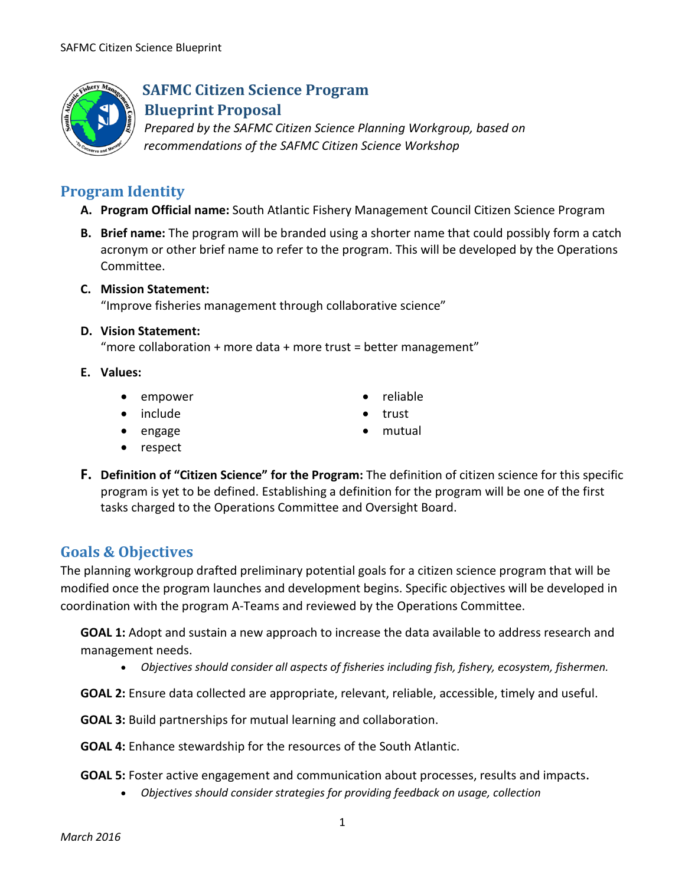

## **SAFMC Citizen Science Program Blueprint Proposal**

*Prepared by the SAFMC Citizen Science Planning Workgroup, based on recommendations of the SAFMC Citizen Science Workshop*

# **Program Identity**

- **A. Program Official name:** South Atlantic Fishery Management Council Citizen Science Program
- **B. Brief name:** The program will be branded using a shorter name that could possibly form a catch acronym or other brief name to refer to the program. This will be developed by the Operations Committee.

### **C. Mission Statement:**

"Improve fisheries management through collaborative science"

### **D. Vision Statement:**

"more collaboration + more data + more trust = better management"

- **E. Values:**
	- empower
	- include
	- engage
	- respect
- **F. Definition of "Citizen Science" for the Program:** The definition of citizen science for this specific

• reliable • trust • mutual

program is yet to be defined. Establishing a definition for the program will be one of the first tasks charged to the Operations Committee and Oversight Board.

## **Goals & Objectives**

The planning workgroup drafted preliminary potential goals for a citizen science program that will be modified once the program launches and development begins. Specific objectives will be developed in coordination with the program A-Teams and reviewed by the Operations Committee.

**GOAL 1:** Adopt and sustain a new approach to increase the data available to address research and management needs.

• *Objectives should consider all aspects of fisheries including fish, fishery, ecosystem, fishermen.*

**GOAL 2:** Ensure data collected are appropriate, relevant, reliable, accessible, timely and useful.

**GOAL 3:** Build partnerships for mutual learning and collaboration.

**GOAL 4:** Enhance stewardship for the resources of the South Atlantic.

**GOAL 5:** Foster active engagement and communication about processes, results and impacts.

• *Objectives should consider strategies for providing feedback on usage, collection*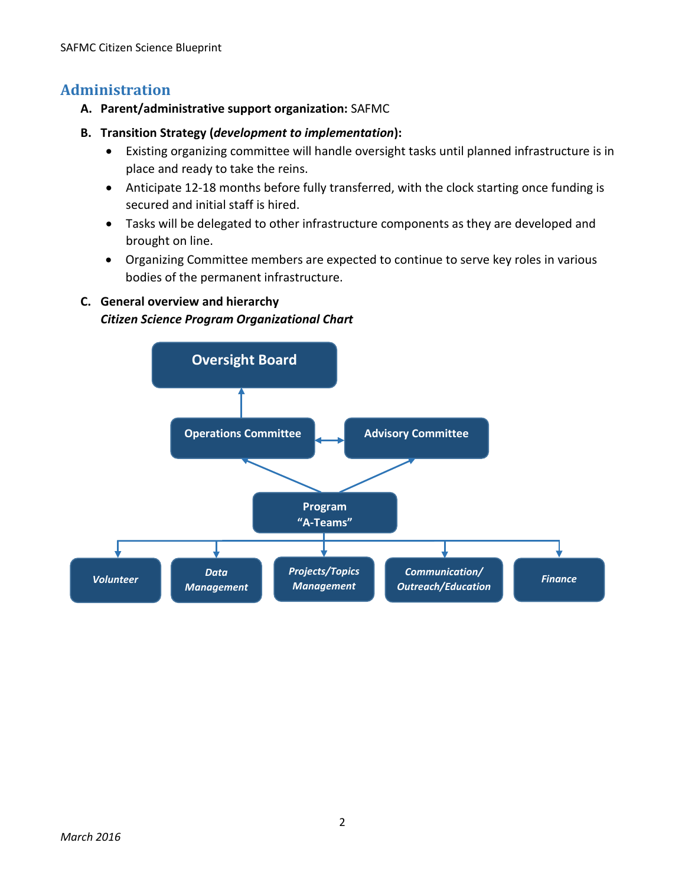## **Administration**

- **A. Parent/administrative support organization:** SAFMC
- **B. Transition Strategy (***development to implementation***):**
	- Existing organizing committee will handle oversight tasks until planned infrastructure is in place and ready to take the reins.
	- Anticipate 12-18 months before fully transferred, with the clock starting once funding is secured and initial staff is hired.
	- Tasks will be delegated to other infrastructure components as they are developed and brought on line.
	- Organizing Committee members are expected to continue to serve key roles in various bodies of the permanent infrastructure.

### **C. General overview and hierarchy** *Citizen Science Program Organizational Chart*

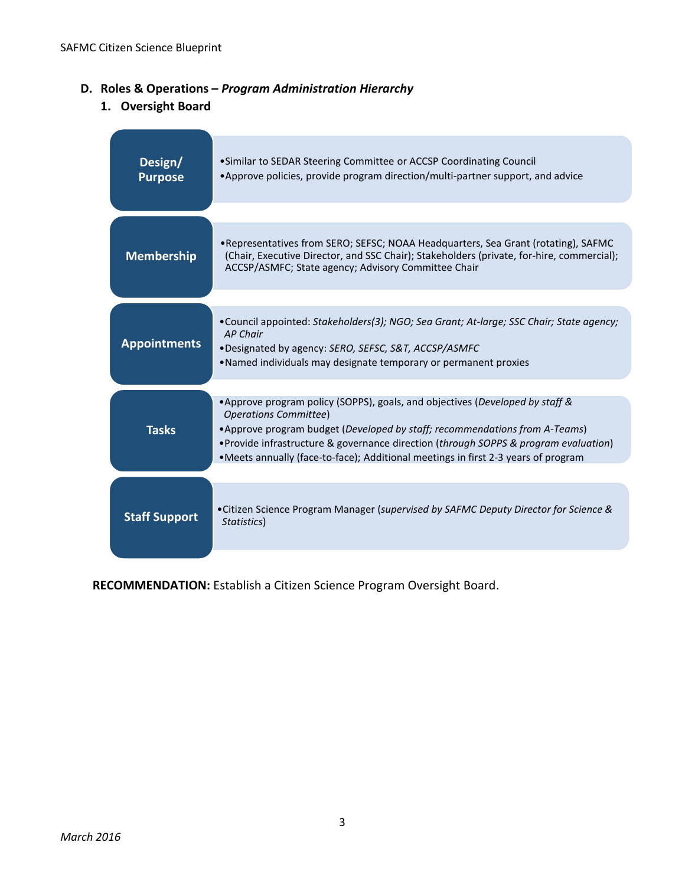### **D. Roles & Operations –** *Program Administration Hierarchy*

**1. Oversight Board** 

| Design/<br><b>Purpose</b> | • Similar to SEDAR Steering Committee or ACCSP Coordinating Council<br>• Approve policies, provide program direction/multi-partner support, and advice                                                                                                                                                                                                                    |  |
|---------------------------|---------------------------------------------------------------------------------------------------------------------------------------------------------------------------------------------------------------------------------------------------------------------------------------------------------------------------------------------------------------------------|--|
|                           |                                                                                                                                                                                                                                                                                                                                                                           |  |
| <b>Membership</b>         | • Representatives from SERO; SEFSC; NOAA Headquarters, Sea Grant (rotating), SAFMC<br>(Chair, Executive Director, and SSC Chair); Stakeholders (private, for-hire, commercial);<br>ACCSP/ASMFC; State agency; Advisory Committee Chair                                                                                                                                    |  |
|                           |                                                                                                                                                                                                                                                                                                                                                                           |  |
| <b>Appointments</b>       | • Council appointed: Stakeholders(3); NGO; Sea Grant; At-large; SSC Chair; State agency;<br><b>AP Chair</b><br>.Designated by agency: SERO, SEFSC, S&T, ACCSP/ASMFC<br>•Named individuals may designate temporary or permanent proxies                                                                                                                                    |  |
|                           |                                                                                                                                                                                                                                                                                                                                                                           |  |
| <b>Tasks</b>              | • Approve program policy (SOPPS), goals, and objectives (Developed by staff &<br><b>Operations Committee)</b><br>• Approve program budget (Developed by staff; recommendations from A-Teams)<br>• Provide infrastructure & governance direction (through SOPPS & program evaluation)<br>•Meets annually (face-to-face); Additional meetings in first 2-3 years of program |  |
|                           |                                                                                                                                                                                                                                                                                                                                                                           |  |
| <b>Staff Support</b>      | •Citizen Science Program Manager (supervised by SAFMC Deputy Director for Science &<br>Statistics)                                                                                                                                                                                                                                                                        |  |

**RECOMMENDATION:** Establish a Citizen Science Program Oversight Board.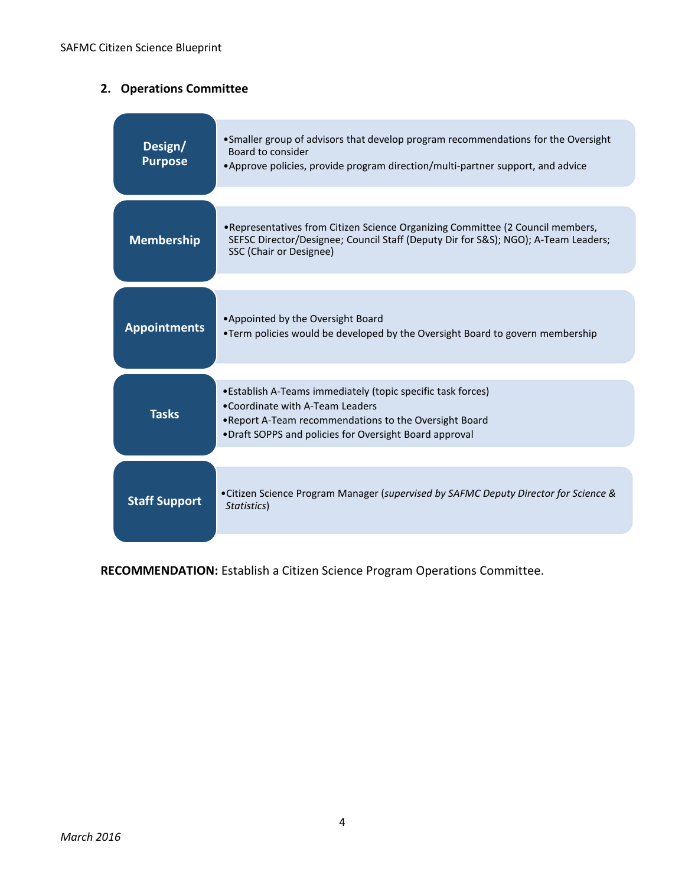# **2. Operations Committee**

| Design/<br><b>Purpose</b> | • Smaller group of advisors that develop program recommendations for the Oversight<br>Board to consider<br>•Approve policies, provide program direction/multi-partner support, and advice                             |
|---------------------------|-----------------------------------------------------------------------------------------------------------------------------------------------------------------------------------------------------------------------|
| <b>Membership</b>         | • Representatives from Citizen Science Organizing Committee (2 Council members,<br>SEFSC Director/Designee; Council Staff (Deputy Dir for S&S); NGO); A-Team Leaders;<br>SSC (Chair or Designee)                      |
| <b>Appointments</b>       | •Appointed by the Oversight Board<br>•Term policies would be developed by the Oversight Board to govern membership                                                                                                    |
| <b>Tasks</b>              | • Establish A-Teams immediately (topic specific task forces)<br>• Coordinate with A-Team Leaders<br>. Report A-Team recommendations to the Oversight Board<br>. Draft SOPPS and policies for Oversight Board approval |
| <b>Staff Support</b>      | • Citizen Science Program Manager (supervised by SAFMC Deputy Director for Science &<br>Statistics)                                                                                                                   |

**RECOMMENDATION:** Establish a Citizen Science Program Operations Committee.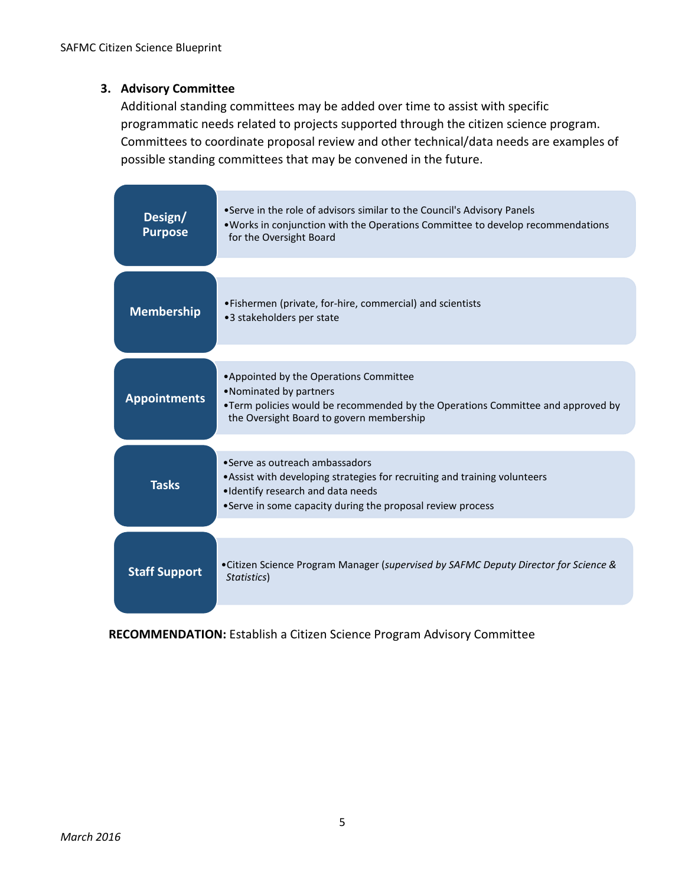### **3. Advisory Committee**

Additional standing committees may be added over time to assist with specific programmatic needs related to projects supported through the citizen science program. Committees to coordinate proposal review and other technical/data needs are examples of possible standing committees that may be convened in the future.

| Design/<br><b>Purpose</b> | • Serve in the role of advisors similar to the Council's Advisory Panels<br>• Works in conjunction with the Operations Committee to develop recommendations<br>for the Oversight Board                          |
|---------------------------|-----------------------------------------------------------------------------------------------------------------------------------------------------------------------------------------------------------------|
| <b>Membership</b>         | • Fishermen (private, for-hire, commercial) and scientists<br>•3 stakeholders per state                                                                                                                         |
| <b>Appointments</b>       | • Appointed by the Operations Committee<br>•Nominated by partners<br>. Term policies would be recommended by the Operations Committee and approved by<br>the Oversight Board to govern membership               |
| <b>Tasks</b>              | •Serve as outreach ambassadors<br>• Assist with developing strategies for recruiting and training volunteers<br>.Identify research and data needs<br>•Serve in some capacity during the proposal review process |
| <b>Staff Support</b>      | • Citizen Science Program Manager (supervised by SAFMC Deputy Director for Science &<br>Statistics)                                                                                                             |

**RECOMMENDATION:** Establish a Citizen Science Program Advisory Committee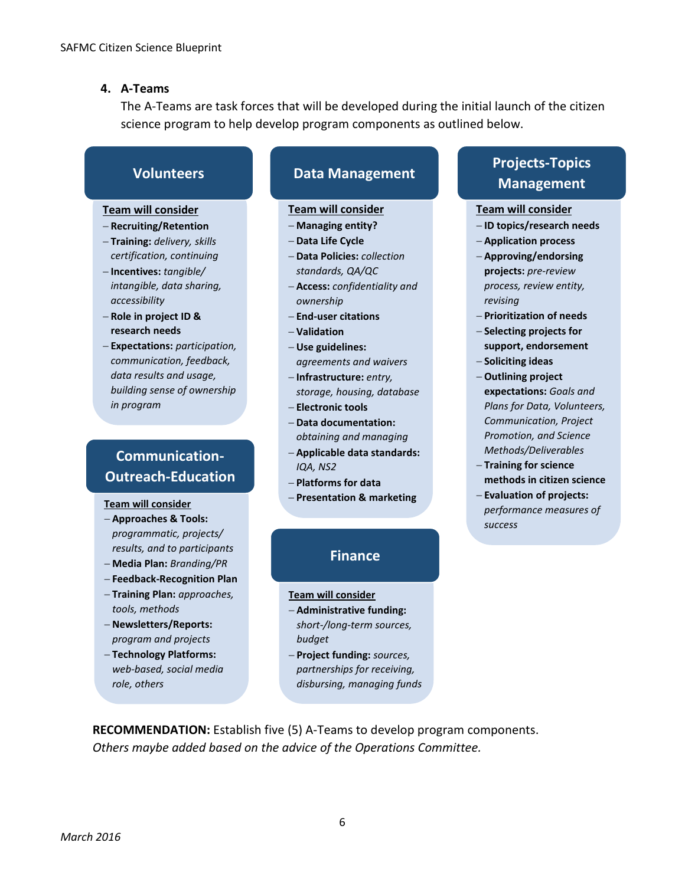#### **4. A-Teams**

The A-Teams are task forces that will be developed during the initial launch of the citizen science program to help develop program components as outlined below.

## **Volunteers**

#### **Team will consider**

- − **Recruiting/Retention**
- − **Training:** *delivery, skills certification, continuing*
- − **Incentives:** *tangible/ intangible, data sharing, accessibility*
- − **Role in project ID & research needs**
- − **Expectations:** *participation, communication, feedback, data results and usage, building sense of ownership in program*

## **Communication-Outreach-Education**

#### **Team will consider**

- − **Approaches & Tools:** *programmatic, projects/ results, and to participants*
- − **Media Plan:** *Branding/PR*
- − **Feedback-Recognition Plan**
- − **Training Plan:** *approaches, tools, methods*
- − **Newsletters/Reports:** *program and projects*
- − **Technology Platforms:** *web-based, social media role, others*

## **Data Management**

#### **Team will consider**

- − **Managing entity?**
- − **Data Life Cycle**
- − **Data Policies:** *collection standards, QA/QC*
- − **Access:** *confidentiality and ownership*
- − **End-user citations**
- − **Validation**
- − **Use guidelines:** *agreements and waivers*
- − **Infrastructure:** *entry, storage, housing, database*
- − **Electronic tools**
- − **Data documentation:** *obtaining and managing*
- − **Applicable data standards:** *IQA, NS2*
- − **Platforms for data**
- − **Presentation & marketing**

## **Finance**

#### **Team will consider**

- − **Administrative funding:** *short-/long-term sources, budget*
- − **Project funding:** *sources, partnerships for receiving, disbursing, managing funds*

## **Projects-Topics Management**

#### **Team will consider**

- − **ID topics/research needs**
- − **Application process**
- − **Approving/endorsing projects:** *pre-review process, review entity, revising*
- − **Prioritization of needs**
- − **Selecting projects for support, endorsement**
- − **Soliciting ideas**
- − **Outlining project expectations:** *Goals and Plans for Data, Volunteers, Communication, Project Promotion, and Science Methods/Deliverables*
- − **Training for science methods in citizen science**
- − **Evaluation of projects:** *performance measures of success*

**RECOMMENDATION:** Establish five (5) A-Teams to develop program components. *Others maybe added based on the advice of the Operations Committee.*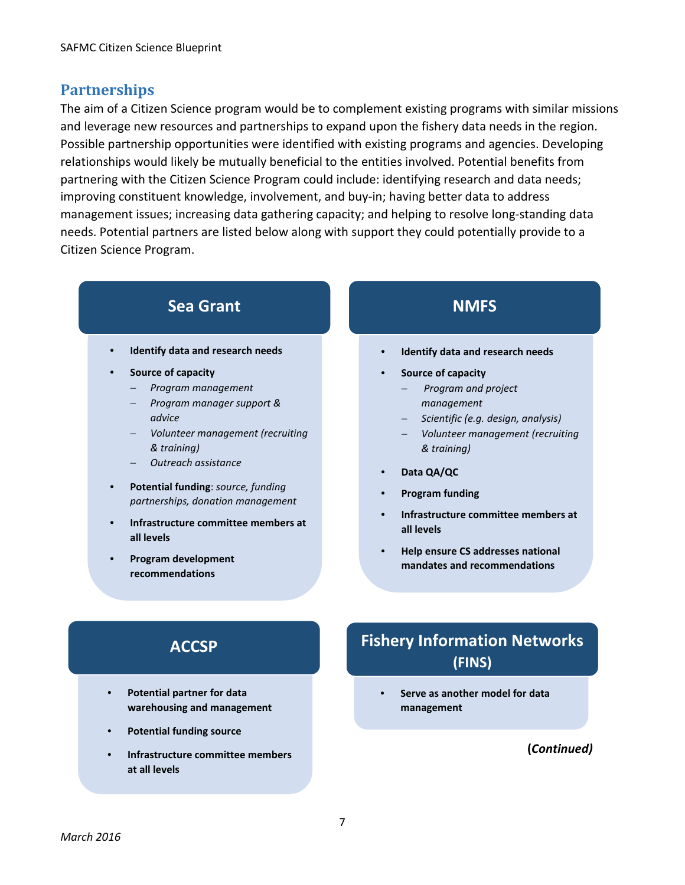## **Partnerships**

The aim of a Citizen Science program would be to complement existing programs with similar missions and leverage new resources and partnerships to expand upon the fishery data needs in the region. Possible partnership opportunities were identified with existing programs and agencies. Developing relationships would likely be mutually beneficial to the entities involved. Potential benefits from partnering with the Citizen Science Program could include: identifying research and data needs; improving constituent knowledge, involvement, and buy-in; having better data to address management issues; increasing data gathering capacity; and helping to resolve long-standing data needs. Potential partners are listed below along with support they could potentially provide to a Citizen Science Program.

# **Sea Grant**

- **Identify data and research needs**
- **Source of capacity**
	- − *Program management*
	- − *Program manager support & advice*
	- − *Volunteer management (recruiting & training)*
	- − *Outreach assistance*
- **Potential funding**: *source, funding partnerships, donation management*
- **Infrastructure committee members at all levels**
- **Program development recommendations**

## **NMFS**

- **Identify data and research needs**
- **Source of capacity**
	- − *Program and project management*
	- − *Scientific (e.g. design, analysis)*
	- − *Volunteer management (recruiting & training)*
- **Data QA/QC**
- **Program funding**
- **Infrastructure committee members at all levels**
- **Help ensure CS addresses national mandates and recommendations**

# **ACCSP**

- **Potential partner for data warehousing and management**
- **Potential funding source**
- **Infrastructure committee members at all levels**

# **Fishery Information Networks (FINS)**

• **Serve as another model for data management**

### **(***Continued)*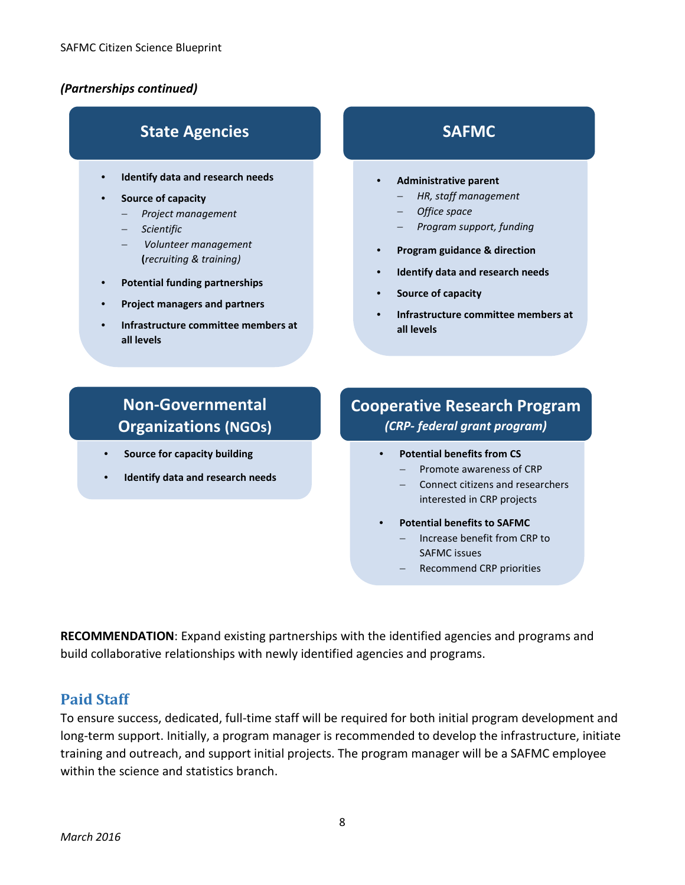### *(Partnerships continued)*

# **State Agencies**

- **Identify data and research needs**
- **Source of capacity**
	- − *Project management*
	- − *Scientific*
	- − *Volunteer management* **(***recruiting & training)*
- **Potential funding partnerships**
- **Project managers and partners**
- **Infrastructure committee members at all levels**

# **SAFMC**

- **Administrative parent**
	- − *HR, staff management*
	- − *Office space*
	- − *Program support, funding*
- **Program guidance & direction**
- **Identify data and research needs**
- **Source of capacity**
- **Infrastructure committee members at all levels**

# **Non-Governmental Organizations (NGOs)**

- **Source for capacity building**
- **Identify data and research needs**

# **Cooperative Research Program**  *(CRP- federal grant program)*

- **Potential benefits from CS**
	- − Promote awareness of CRP
	- − Connect citizens and researchers interested in CRP projects
- **Potential benefits to SAFMC**
	- − Increase benefit from CRP to SAFMC issues
	- − Recommend CRP priorities

**RECOMMENDATION**: Expand existing partnerships with the identified agencies and programs and build collaborative relationships with newly identified agencies and programs.

### **Paid Staff**

To ensure success, dedicated, full-time staff will be required for both initial program development and long-term support. Initially, a program manager is recommended to develop the infrastructure, initiate training and outreach, and support initial projects. The program manager will be a SAFMC employee within the science and statistics branch.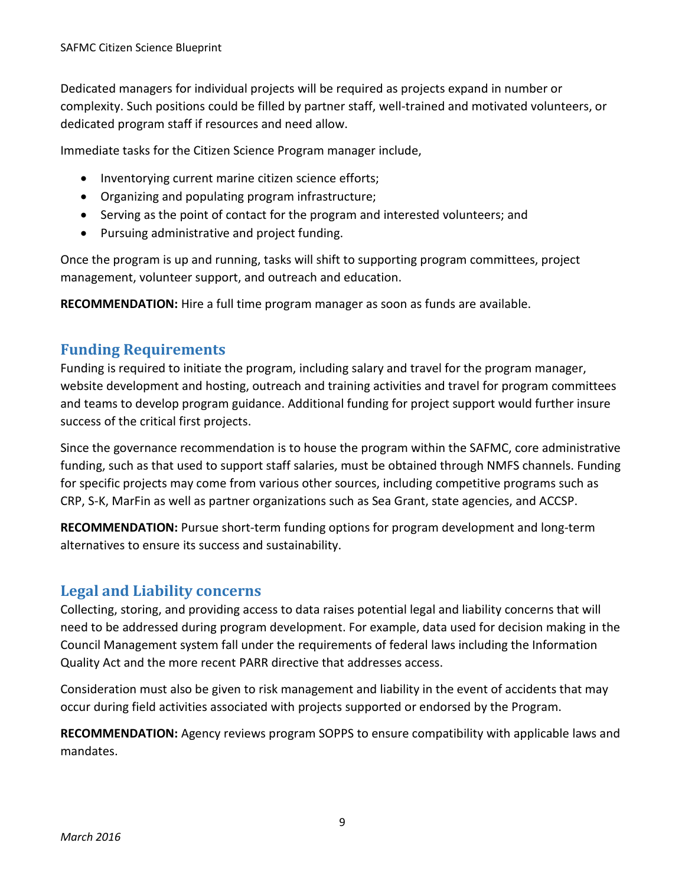Dedicated managers for individual projects will be required as projects expand in number or complexity. Such positions could be filled by partner staff, well-trained and motivated volunteers, or dedicated program staff if resources and need allow.

Immediate tasks for the Citizen Science Program manager include,

- Inventorying current marine citizen science efforts;
- Organizing and populating program infrastructure;
- Serving as the point of contact for the program and interested volunteers; and
- Pursuing administrative and project funding.

Once the program is up and running, tasks will shift to supporting program committees, project management, volunteer support, and outreach and education.

**RECOMMENDATION:** Hire a full time program manager as soon as funds are available.

## **Funding Requirements**

Funding is required to initiate the program, including salary and travel for the program manager, website development and hosting, outreach and training activities and travel for program committees and teams to develop program guidance. Additional funding for project support would further insure success of the critical first projects.

Since the governance recommendation is to house the program within the SAFMC, core administrative funding, such as that used to support staff salaries, must be obtained through NMFS channels. Funding for specific projects may come from various other sources, including competitive programs such as CRP, S-K, MarFin as well as partner organizations such as Sea Grant, state agencies, and ACCSP.

**RECOMMENDATION:** Pursue short-term funding options for program development and long-term alternatives to ensure its success and sustainability.

## **Legal and Liability concerns**

Collecting, storing, and providing access to data raises potential legal and liability concerns that will need to be addressed during program development. For example, data used for decision making in the Council Management system fall under the requirements of federal laws including the Information Quality Act and the more recent PARR directive that addresses access.

Consideration must also be given to risk management and liability in the event of accidents that may occur during field activities associated with projects supported or endorsed by the Program.

**RECOMMENDATION:** Agency reviews program SOPPS to ensure compatibility with applicable laws and mandates.